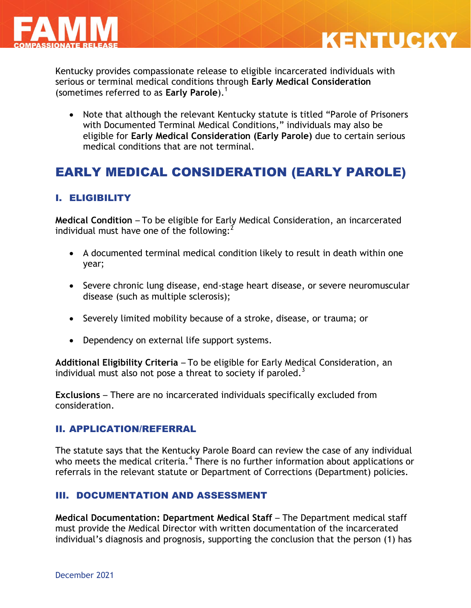



Kentucky provides compassionate release to eligible incarcerated individuals with serious or terminal medical conditions through **Early Medical Consideration** (sometimes referred to as **Early Parole**). 1

• Note that although the relevant Kentucky statute is titled "Parole of Prisoners with Documented Terminal Medical Conditions," individuals may also be eligible for **Early Medical Consideration (Early Parole)** due to certain serious medical conditions that are not terminal.

# EARLY MEDICAL CONSIDERATION (EARLY PAROLE)

#### I. ELIGIBILITY

**Medical Condition** – To be eligible for Early Medical Consideration, an incarcerated individual must have one of the following: $<sup>2</sup>$ </sup>

- A documented terminal medical condition likely to result in death within one year;
- Severe chronic lung disease, end-stage heart disease, or severe neuromuscular disease (such as multiple sclerosis);
- Severely limited mobility because of a stroke, disease, or trauma; or
- Dependency on external life support systems.

**Additional Eligibility Criteria** – To be eligible for Early Medical Consideration, an individual must also not pose a threat to society if paroled.<sup>3</sup>

**Exclusions** – There are no incarcerated individuals specifically excluded from consideration.

#### II. APPLICATION/REFERRAL

The statute says that the Kentucky Parole Board can review the case of any individual who meets the medical criteria.<sup>4</sup> There is no further information about applications or referrals in the relevant statute or Department of Corrections (Department) policies.

#### III. DOCUMENTATION AND ASSESSMENT

**Medical Documentation: Department Medical Staff** – The Department medical staff must provide the Medical Director with written documentation of the incarcerated individual's diagnosis and prognosis, supporting the conclusion that the person (1) has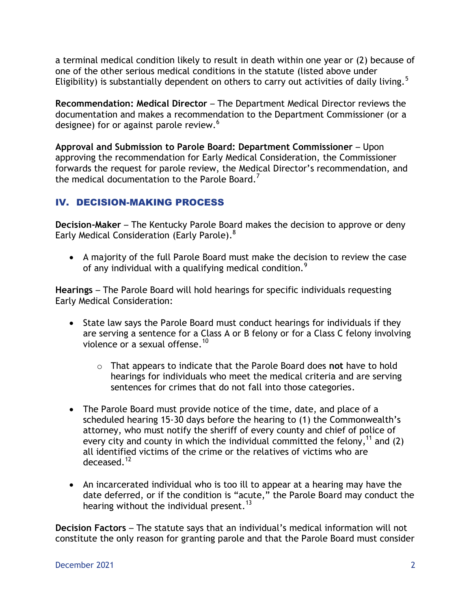a terminal medical condition likely to result in death within one year or (2) because of one of the other serious medical conditions in the statute (listed above under Eligibility) is substantially dependent on others to carry out activities of daily living.<sup>5</sup>

**Recommendation: Medical Director** – The Department Medical Director reviews the documentation and makes a recommendation to the Department Commissioner (or a designee) for or against parole review.<sup>6</sup>

**Approval and Submission to Parole Board: Department Commissioner** – Upon approving the recommendation for Early Medical Consideration, the Commissioner forwards the request for parole review, the Medical Director's recommendation, and the medical documentation to the Parole Board.<sup>7</sup>

### IV. DECISION-MAKING PROCESS

**Decision-Maker** – The Kentucky Parole Board makes the decision to approve or deny Early Medical Consideration (Early Parole).<sup>8</sup>

 A majority of the full Parole Board must make the decision to review the case of any individual with a qualifying medical condition.<sup>9</sup>

**Hearings** – The Parole Board will hold hearings for specific individuals requesting Early Medical Consideration:

- State law says the Parole Board must conduct hearings for individuals if they are serving a sentence for a Class A or B felony or for a Class C felony involving violence or a sexual offense.<sup>10</sup>
	- o That appears to indicate that the Parole Board does **not** have to hold hearings for individuals who meet the medical criteria and are serving sentences for crimes that do not fall into those categories.
- The Parole Board must provide notice of the time, date, and place of a scheduled hearing 15-30 days before the hearing to (1) the Commonwealth's attorney, who must notify the sheriff of every county and chief of police of every city and county in which the individual committed the felony,<sup>11</sup> and (2) all identified victims of the crime or the relatives of victims who are deceased.<sup>12</sup>
- An incarcerated individual who is too ill to appear at a hearing may have the date deferred, or if the condition is "acute," the Parole Board may conduct the hearing without the individual present.<sup>13</sup>

**Decision Factors** – The statute says that an individual's medical information will not constitute the only reason for granting parole and that the Parole Board must consider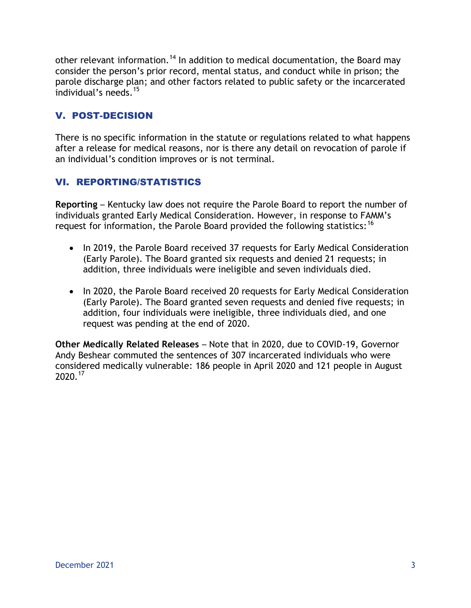other relevant information.<sup>14</sup> In addition to medical documentation, the Board may consider the person's prior record, mental status, and conduct while in prison; the parole discharge plan; and other factors related to public safety or the incarcerated individual's needs.<sup>15</sup>

### V. POST-DECISION

There is no specific information in the statute or regulations related to what happens after a release for medical reasons, nor is there any detail on revocation of parole if an individual's condition improves or is not terminal.

### VI. REPORTING/STATISTICS

**Reporting** – Kentucky law does not require the Parole Board to report the number of individuals granted Early Medical Consideration. However, in response to FAMM's request for information, the Parole Board provided the following statistics:<sup>16</sup>

- In 2019, the Parole Board received 37 requests for Early Medical Consideration (Early Parole). The Board granted six requests and denied 21 requests; in addition, three individuals were ineligible and seven individuals died.
- In 2020, the Parole Board received 20 requests for Early Medical Consideration (Early Parole). The Board granted seven requests and denied five requests; in addition, four individuals were ineligible, three individuals died, and one request was pending at the end of 2020.

**Other Medically Related Releases** – Note that in 2020, due to COVID-19, Governor Andy Beshear commuted the sentences of 307 incarcerated individuals who were considered medically vulnerable: 186 people in April 2020 and 121 people in August 2020.<sup>17</sup>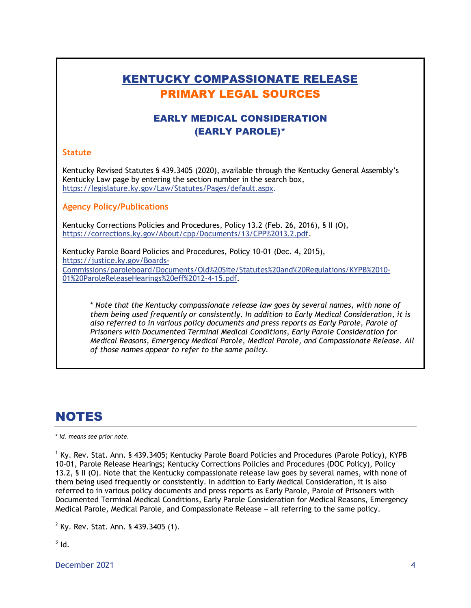## KENTUCKY COMPASSIONATE RELEASE PRIMARY LEGAL SOURCES

### EARLY MEDICAL CONSIDERATION (EARLY PAROLE)\*

#### **Statute**

Kentucky Revised Statutes § 439.3405 (2020), available through the Kentucky General Assembly's Kentucky Law page by entering the section number in the search box, [https://legislature.ky.gov/Law/Statutes/Pages/default.aspx.](https://legislature.ky.gov/Law/Statutes/Pages/default.aspx)

**Agency Policy/Publications**

Kentucky Corrections Policies and Procedures, Policy 13.2 (Feb. 26, 2016), § II (O), [https://corrections.ky.gov/About/cpp/Documents/13/CPP%2013.2.pdf.](https://corrections.ky.gov/About/cpp/Documents/13/CPP%2013.2.pdf)

Kentucky Parole Board Policies and Procedures, Policy 10-01 (Dec. 4, 2015), [https://justice.ky.gov/Boards-](https://justice.ky.gov/Boards-Commissions/paroleboard/Documents/Old%20Site/Statutes%20and%20Regulations/KYPB%2010-01%20ParoleReleaseHearings%20eff%2012-4-15.pdf)[Commissions/paroleboard/Documents/Old%20Site/Statutes%20and%20Regulations/KYPB%2010-](https://justice.ky.gov/Boards-Commissions/paroleboard/Documents/Old%20Site/Statutes%20and%20Regulations/KYPB%2010-01%20ParoleReleaseHearings%20eff%2012-4-15.pdf) [01%20ParoleReleaseHearings%20eff%2012-4-15.pdf.](https://justice.ky.gov/Boards-Commissions/paroleboard/Documents/Old%20Site/Statutes%20and%20Regulations/KYPB%2010-01%20ParoleReleaseHearings%20eff%2012-4-15.pdf)

\* *Note that the Kentucky compassionate release law goes by several names, with none of them being used frequently or consistently. In addition to Early Medical Consideration, it is also referred to in various policy documents and press reports as Early Parole, Parole of Prisoners with Documented Terminal Medical Conditions, Early Parole Consideration for Medical Reasons, Emergency Medical Parole, Medical Parole, and Compassionate Release. All of those names appear to refer to the same policy.*

# NOTES

\* *Id. means see prior note.*

<sup>1</sup> Ky. Rev. Stat. Ann. § 439.3405; Kentucky Parole Board Policies and Procedures (Parole Policy), KYPB 10-01, Parole Release Hearings; Kentucky Corrections Policies and Procedures (DOC Policy), Policy 13.2, § II (O). Note that the Kentucky compassionate release law goes by several names, with none of them being used frequently or consistently. In addition to Early Medical Consideration, it is also referred to in various policy documents and press reports as Early Parole, Parole of Prisoners with Documented Terminal Medical Conditions, Early Parole Consideration for Medical Reasons, Emergency Medical Parole, Medical Parole, and Compassionate Release – all referring to the same policy.

 $2$  Ky. Rev. Stat. Ann. § 439.3405 (1).

 $3$  Id.